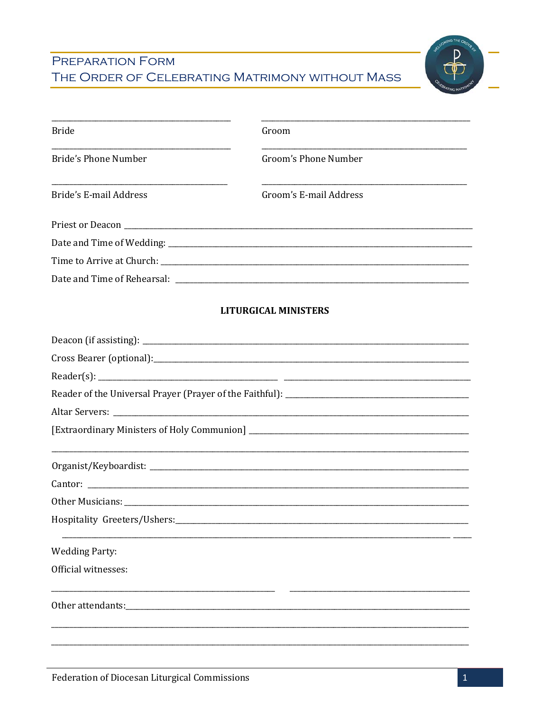## PREPARATION FORM THE ORDER OF CELEBRATING MATRIMONY WITHOUT MASS



| <b>Bride</b>                 | Groom                                                                                                                                                                                                                                |
|------------------------------|--------------------------------------------------------------------------------------------------------------------------------------------------------------------------------------------------------------------------------------|
| Bride's Phone Number         | Groom's Phone Number                                                                                                                                                                                                                 |
| Bride's E-mail Address       | Groom's E-mail Address                                                                                                                                                                                                               |
|                              |                                                                                                                                                                                                                                      |
|                              |                                                                                                                                                                                                                                      |
|                              |                                                                                                                                                                                                                                      |
|                              |                                                                                                                                                                                                                                      |
|                              | <b>LITURGICAL MINISTERS</b>                                                                                                                                                                                                          |
|                              |                                                                                                                                                                                                                                      |
|                              |                                                                                                                                                                                                                                      |
|                              |                                                                                                                                                                                                                                      |
|                              |                                                                                                                                                                                                                                      |
|                              |                                                                                                                                                                                                                                      |
|                              |                                                                                                                                                                                                                                      |
|                              |                                                                                                                                                                                                                                      |
|                              | Cantor: <u>and a series of the series of the series of the series of the series of the series of the series of the series of the series of the series of the series of the series of the series of the series of the series of t</u> |
|                              |                                                                                                                                                                                                                                      |
| Hospitality Greeters/Ushers: |                                                                                                                                                                                                                                      |
| <b>Wedding Party:</b>        |                                                                                                                                                                                                                                      |
| Official witnesses:          |                                                                                                                                                                                                                                      |
|                              |                                                                                                                                                                                                                                      |
|                              |                                                                                                                                                                                                                                      |
|                              |                                                                                                                                                                                                                                      |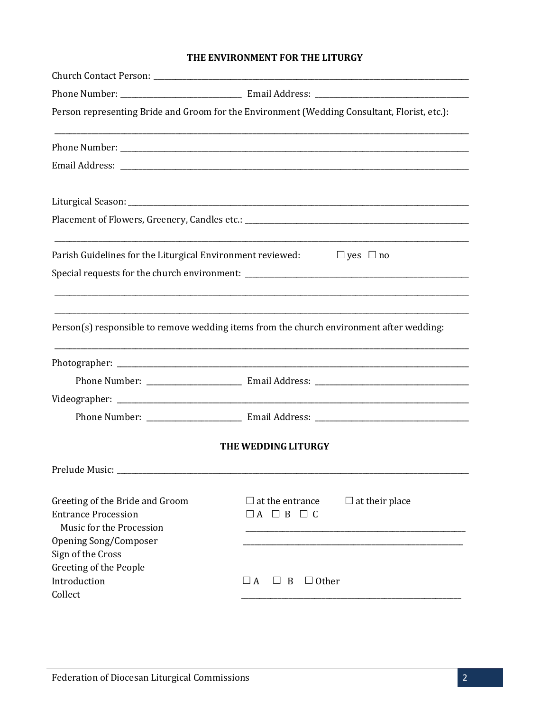## THE ENVIRONMENT FOR THE LITURGY

|                                                                                           | Person representing Bride and Groom for the Environment (Wedding Consultant, Florist, etc.): |
|-------------------------------------------------------------------------------------------|----------------------------------------------------------------------------------------------|
|                                                                                           |                                                                                              |
|                                                                                           |                                                                                              |
|                                                                                           |                                                                                              |
|                                                                                           |                                                                                              |
|                                                                                           | Parish Guidelines for the Liturgical Environment reviewed: $\Box$ yes $\Box$ no              |
|                                                                                           | Person(s) responsible to remove wedding items from the church environment after wedding:     |
|                                                                                           |                                                                                              |
|                                                                                           |                                                                                              |
|                                                                                           |                                                                                              |
|                                                                                           |                                                                                              |
|                                                                                           | THE WEDDING LITURGY                                                                          |
| Prelude Music:                                                                            |                                                                                              |
| Greeting of the Bride and Groom<br><b>Entrance Procession</b><br>Music for the Procession | $\Box$ at the entrance<br>$\Box$ at their place<br>$\Box A \Box B \Box C$                    |
| Opening Song/Composer<br>Sign of the Cross                                                |                                                                                              |
| Greeting of the People                                                                    |                                                                                              |
| Introduction                                                                              | $\Box A$<br>$\Box$ Other<br>$\Box$ B                                                         |
| Collect                                                                                   |                                                                                              |